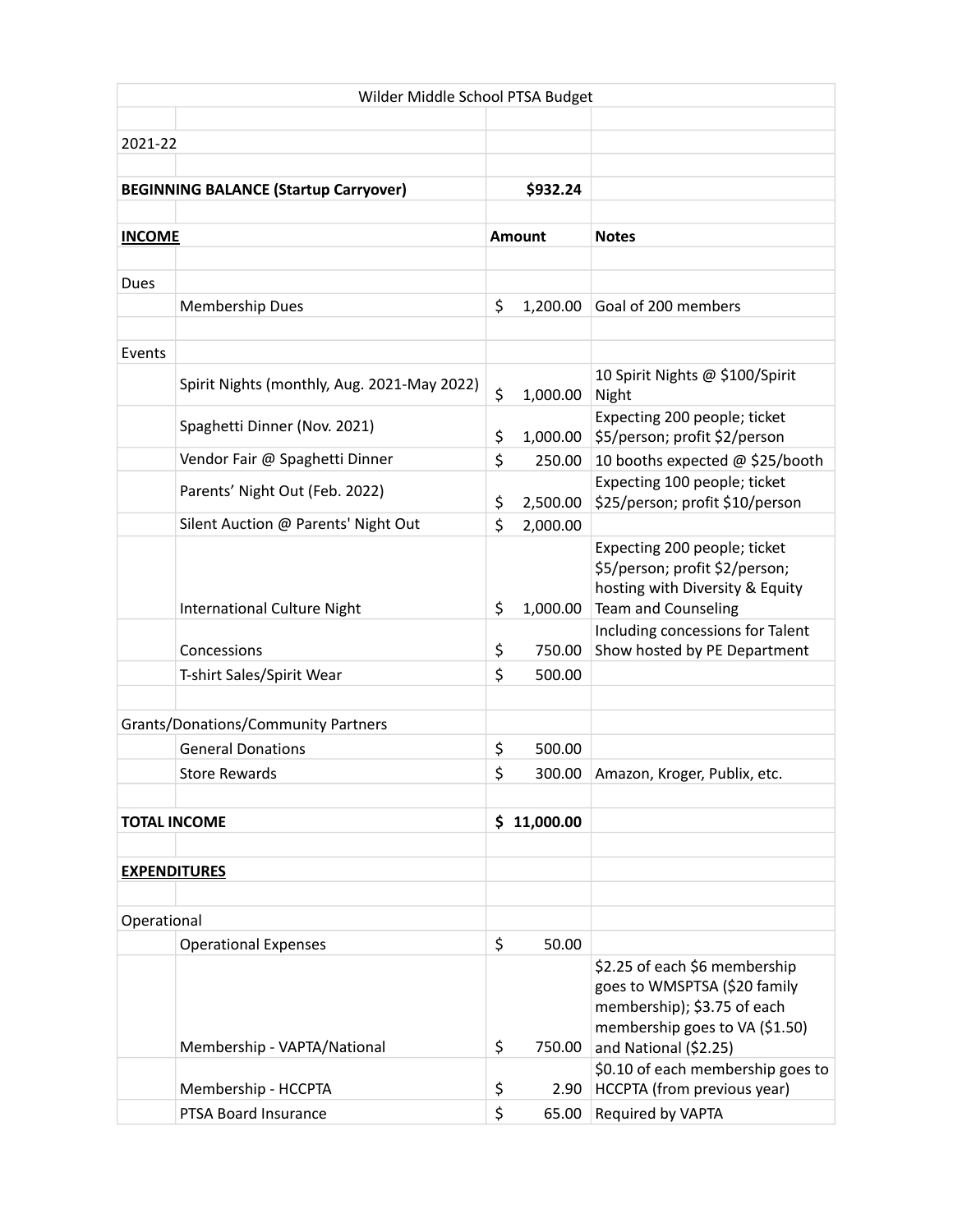| Wilder Middle School PTSA Budget             |                                             |    |               |                                                                                                                                                         |  |  |  |
|----------------------------------------------|---------------------------------------------|----|---------------|---------------------------------------------------------------------------------------------------------------------------------------------------------|--|--|--|
|                                              |                                             |    |               |                                                                                                                                                         |  |  |  |
| 2021-22                                      |                                             |    |               |                                                                                                                                                         |  |  |  |
|                                              |                                             |    |               |                                                                                                                                                         |  |  |  |
| <b>BEGINNING BALANCE (Startup Carryover)</b> |                                             |    | \$932.24      |                                                                                                                                                         |  |  |  |
|                                              |                                             |    |               |                                                                                                                                                         |  |  |  |
| <b>INCOME</b>                                |                                             |    | <b>Amount</b> | <b>Notes</b>                                                                                                                                            |  |  |  |
|                                              |                                             |    |               |                                                                                                                                                         |  |  |  |
| Dues                                         |                                             |    |               |                                                                                                                                                         |  |  |  |
|                                              | Membership Dues                             | \$ | 1,200.00      | Goal of 200 members                                                                                                                                     |  |  |  |
|                                              |                                             |    |               |                                                                                                                                                         |  |  |  |
| Events                                       |                                             |    |               |                                                                                                                                                         |  |  |  |
|                                              | Spirit Nights (monthly, Aug. 2021-May 2022) | \$ | 1,000.00      | 10 Spirit Nights @ \$100/Spirit<br>Night                                                                                                                |  |  |  |
|                                              |                                             |    |               | Expecting 200 people; ticket                                                                                                                            |  |  |  |
|                                              | Spaghetti Dinner (Nov. 2021)                | \$ | 1,000.00      | \$5/person; profit \$2/person                                                                                                                           |  |  |  |
|                                              | Vendor Fair @ Spaghetti Dinner              | \$ | 250.00        | 10 booths expected @ \$25/booth                                                                                                                         |  |  |  |
|                                              |                                             |    |               | Expecting 100 people; ticket                                                                                                                            |  |  |  |
|                                              | Parents' Night Out (Feb. 2022)              | \$ | 2,500.00      | \$25/person; profit \$10/person                                                                                                                         |  |  |  |
|                                              | Silent Auction @ Parents' Night Out         | \$ | 2,000.00      |                                                                                                                                                         |  |  |  |
|                                              | International Culture Night                 | \$ | 1,000.00      | Expecting 200 people; ticket<br>\$5/person; profit \$2/person;<br>hosting with Diversity & Equity<br>Team and Counseling                                |  |  |  |
|                                              |                                             |    |               | Including concessions for Talent                                                                                                                        |  |  |  |
|                                              | Concessions                                 | \$ | 750.00        | Show hosted by PE Department                                                                                                                            |  |  |  |
|                                              | T-shirt Sales/Spirit Wear                   | \$ | 500.00        |                                                                                                                                                         |  |  |  |
|                                              |                                             |    |               |                                                                                                                                                         |  |  |  |
| <b>Grants/Donations/Community Partners</b>   |                                             |    |               |                                                                                                                                                         |  |  |  |
|                                              | <b>General Donations</b>                    | \$ | 500.00        |                                                                                                                                                         |  |  |  |
|                                              | <b>Store Rewards</b>                        | \$ | 300.00        | Amazon, Kroger, Publix, etc.                                                                                                                            |  |  |  |
|                                              |                                             |    |               |                                                                                                                                                         |  |  |  |
| <b>TOTAL INCOME</b>                          |                                             |    | \$11,000.00   |                                                                                                                                                         |  |  |  |
|                                              |                                             |    |               |                                                                                                                                                         |  |  |  |
| <b>EXPENDITURES</b>                          |                                             |    |               |                                                                                                                                                         |  |  |  |
|                                              |                                             |    |               |                                                                                                                                                         |  |  |  |
| Operational                                  |                                             |    |               |                                                                                                                                                         |  |  |  |
|                                              | <b>Operational Expenses</b>                 | \$ | 50.00         |                                                                                                                                                         |  |  |  |
|                                              | Membership - VAPTA/National                 | \$ | 750.00        | \$2.25 of each \$6 membership<br>goes to WMSPTSA (\$20 family<br>membership); \$3.75 of each<br>membership goes to VA (\$1.50)<br>and National (\$2.25) |  |  |  |
|                                              |                                             |    |               | \$0.10 of each membership goes to                                                                                                                       |  |  |  |
|                                              | Membership - HCCPTA                         | \$ | 2.90          | HCCPTA (from previous year)                                                                                                                             |  |  |  |
|                                              | PTSA Board Insurance                        | \$ | 65.00         | Required by VAPTA                                                                                                                                       |  |  |  |